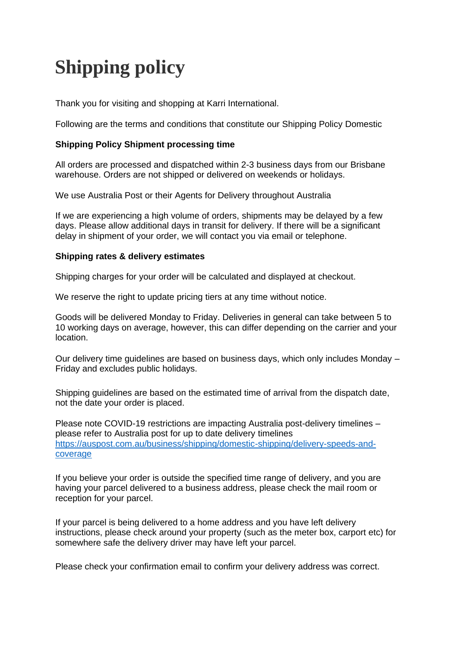# **Shipping policy**

Thank you for visiting and shopping at Karri International.

Following are the terms and conditions that constitute our Shipping Policy Domestic

## **Shipping Policy Shipment processing time**

All orders are processed and dispatched within 2-3 business days from our Brisbane warehouse. Orders are not shipped or delivered on weekends or holidays.

We use Australia Post or their Agents for Delivery throughout Australia

If we are experiencing a high volume of orders, shipments may be delayed by a few days. Please allow additional days in transit for delivery. If there will be a significant delay in shipment of your order, we will contact you via email or telephone.

#### **Shipping rates & delivery estimates**

Shipping charges for your order will be calculated and displayed at checkout.

We reserve the right to update pricing tiers at any time without notice.

Goods will be delivered Monday to Friday. Deliveries in general can take between 5 to 10 working days on average, however, this can differ depending on the carrier and your location.

Our delivery time guidelines are based on business days, which only includes Monday – Friday and excludes public holidays.

Shipping guidelines are based on the estimated time of arrival from the dispatch date, not the date your order is placed.

Please note COVID-19 restrictions are impacting Australia post-delivery timelines – please refer to Australia post for up to date delivery timelines [https://auspost.com.au/business/shipping/domestic-shipping/delivery-speeds-and](https://auspost.com.au/business/shipping/domestic-shipping/delivery-speeds-and-coverage)[coverage](https://auspost.com.au/business/shipping/domestic-shipping/delivery-speeds-and-coverage)

If you believe your order is outside the specified time range of delivery, and you are having your parcel delivered to a business address, please check the mail room or reception for your parcel.

If your parcel is being delivered to a home address and you have left delivery instructions, please check around your property (such as the meter box, carport etc) for somewhere safe the delivery driver may have left your parcel.

Please check your confirmation email to confirm your delivery address was correct.